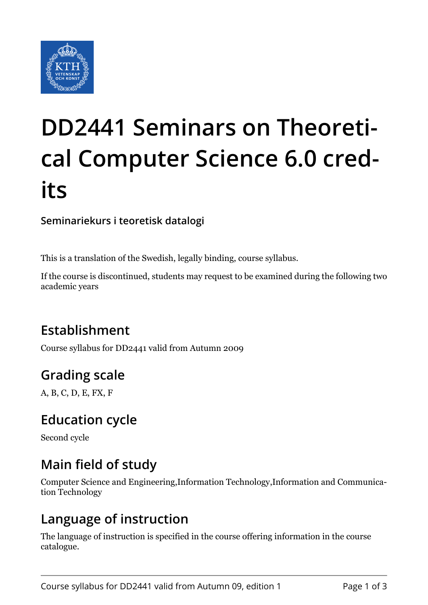

# **DD2441 Seminars on Theoretical Computer Science 6.0 credits**

**Seminariekurs i teoretisk datalogi**

This is a translation of the Swedish, legally binding, course syllabus.

If the course is discontinued, students may request to be examined during the following two academic years

# **Establishment**

Course syllabus for DD2441 valid from Autumn 2009

# **Grading scale**

A, B, C, D, E, FX, F

## **Education cycle**

Second cycle

# **Main field of study**

Computer Science and Engineering,Information Technology,Information and Communication Technology

## **Language of instruction**

The language of instruction is specified in the course offering information in the course catalogue.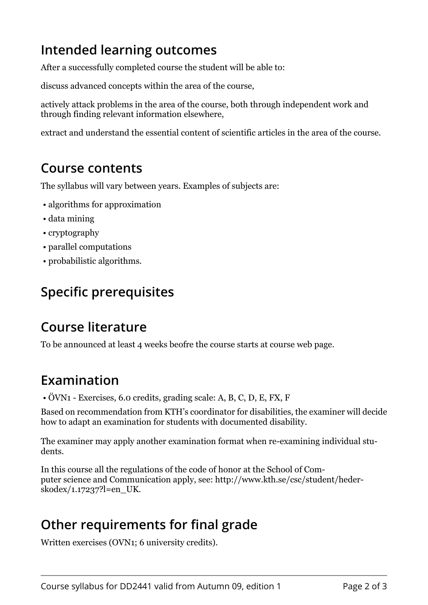## **Intended learning outcomes**

After a successfully completed course the student will be able to:

discuss advanced concepts within the area of the course,

actively attack problems in the area of the course, both through independent work and through finding relevant information elsewhere,

extract and understand the essential content of scientific articles in the area of the course.

#### **Course contents**

The syllabus will vary between years. Examples of subjects are:

- algorithms for approximation
- data mining
- cryptography
- parallel computations
- probabilistic algorithms.

# **Specific prerequisites**

## **Course literature**

To be announced at least 4 weeks beofre the course starts at course web page.

## **Examination**

• ÖVN1 - Exercises, 6.0 credits, grading scale: A, B, C, D, E, FX, F

Based on recommendation from KTH's coordinator for disabilities, the examiner will decide how to adapt an examination for students with documented disability.

The examiner may apply another examination format when re-examining individual students.

In this course all the regulations of the code of honor at the School of Computer science and Communication apply, see: http://www.kth.se/csc/student/hederskodex/1.17237?l=en\_UK.

## **Other requirements for final grade**

Written exercises (OVN1; 6 university credits).